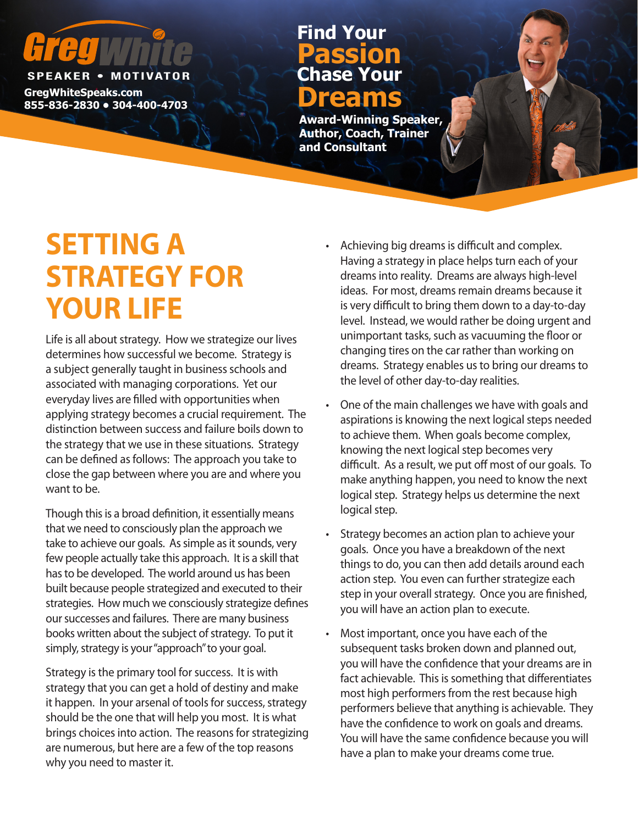**SPEAKER • MOTIVATOR**

**GregWhiteSpeaks.com BiogWhiteSpeaks.com**<br>855-836-2830 • 304-400-4703

# **Chase Your Passion Find Your**

**Award-Winning Speaker, Author, Coach, Trainer and Consultant**

# **SETTING A STRATEGY FOR YOUR LIFE**

Life is all about strategy. How we strategize our lives determines how successful we become. Strategy is a subject generally taught in business schools and associated with managing corporations. Yet our everyday lives are filled with opportunities when applying strategy becomes a crucial requirement. The distinction between success and failure boils down to the strategy that we use in these situations. Strategy can be defined as follows: The approach you take to close the gap between where you are and where you want to be.

Though this is a broad definition, it essentially means that we need to consciously plan the approach we take to achieve our goals. As simple as it sounds, very few people actually take this approach. It is a skill that has to be developed. The world around us has been built because people strategized and executed to their strategies. How much we consciously strategize defines our successes and failures. There are many business books written about the subject of strategy. To put it simply, strategy is your "approach" to your goal.

Strategy is the primary tool for success. It is with strategy that you can get a hold of destiny and make it happen. In your arsenal of tools for success, strategy should be the one that will help you most. It is what brings choices into action. The reasons for strategizing are numerous, but here are a few of the top reasons why you need to master it.

- Achieving big dreams is difficult and complex. Having a strategy in place helps turn each of your dreams into reality. Dreams are always high-level ideas. For most, dreams remain dreams because it is very difficult to bring them down to a day-to-day level. Instead, we would rather be doing urgent and unimportant tasks, such as vacuuming the floor or changing tires on the car rather than working on dreams. Strategy enables us to bring our dreams to the level of other day-to-day realities.
- One of the main challenges we have with goals and aspirations is knowing the next logical steps needed to achieve them. When goals become complex, knowing the next logical step becomes very difficult. As a result, we put off most of our goals. To make anything happen, you need to know the next logical step. Strategy helps us determine the next logical step.
- Strategy becomes an action plan to achieve your goals. Once you have a breakdown of the next things to do, you can then add details around each action step. You even can further strategize each step in your overall strategy. Once you are finished, you will have an action plan to execute.
- Most important, once you have each of the subsequent tasks broken down and planned out, you will have the confidence that your dreams are in fact achievable. This is something that differentiates most high performers from the rest because high performers believe that anything is achievable. They have the confidence to work on goals and dreams. You will have the same confidence because you will have a plan to make your dreams come true.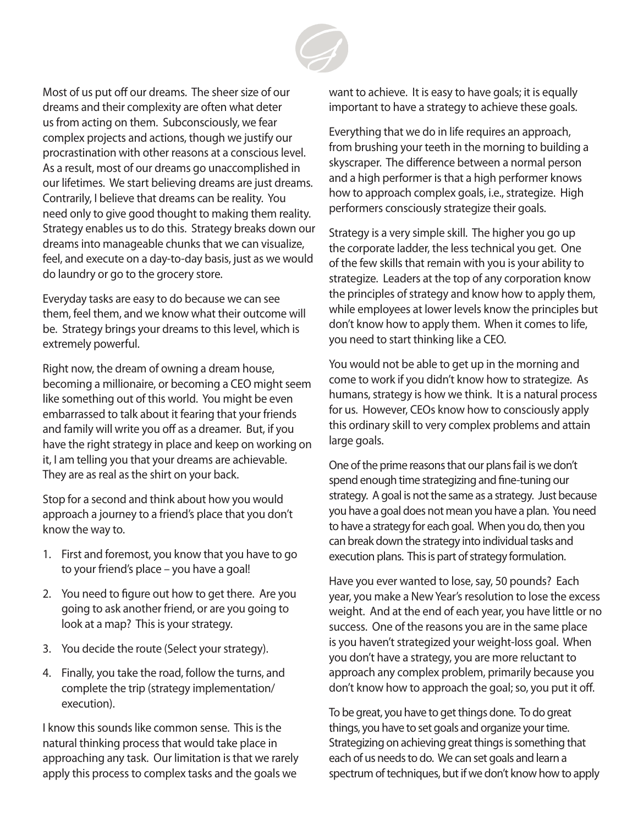

Most of us put off our dreams. The sheer size of our dreams and their complexity are often what deter us from acting on them. Subconsciously, we fear complex projects and actions, though we justify our procrastination with other reasons at a conscious level. As a result, most of our dreams go unaccomplished in our lifetimes. We start believing dreams are just dreams. Contrarily, I believe that dreams can be reality. You need only to give good thought to making them reality. Strategy enables us to do this. Strategy breaks down our dreams into manageable chunks that we can visualize, feel, and execute on a day-to-day basis, just as we would do laundry or go to the grocery store.

Everyday tasks are easy to do because we can see them, feel them, and we know what their outcome will be. Strategy brings your dreams to this level, which is extremely powerful.

Right now, the dream of owning a dream house, becoming a millionaire, or becoming a CEO might seem like something out of this world. You might be even embarrassed to talk about it fearing that your friends and family will write you off as a dreamer. But, if you have the right strategy in place and keep on working on it, I am telling you that your dreams are achievable. They are as real as the shirt on your back.

Stop for a second and think about how you would approach a journey to a friend's place that you don't know the way to.

- 1. First and foremost, you know that you have to go to your friend's place – you have a goal!
- 2. You need to figure out how to get there. Are you going to ask another friend, or are you going to look at a map? This is your strategy.
- 3. You decide the route (Select your strategy).
- 4. Finally, you take the road, follow the turns, and complete the trip (strategy implementation/ execution).

I know this sounds like common sense. This is the natural thinking process that would take place in approaching any task. Our limitation is that we rarely apply this process to complex tasks and the goals we

want to achieve. It is easy to have goals; it is equally important to have a strategy to achieve these goals.

Everything that we do in life requires an approach, from brushing your teeth in the morning to building a skyscraper. The difference between a normal person and a high performer is that a high performer knows how to approach complex goals, i.e., strategize. High performers consciously strategize their goals.

Strategy is a very simple skill. The higher you go up the corporate ladder, the less technical you get. One of the few skills that remain with you is your ability to strategize. Leaders at the top of any corporation know the principles of strategy and know how to apply them, while employees at lower levels know the principles but don't know how to apply them. When it comes to life, you need to start thinking like a CEO.

You would not be able to get up in the morning and come to work if you didn't know how to strategize. As humans, strategy is how we think. It is a natural process for us. However, CEOs know how to consciously apply this ordinary skill to very complex problems and attain large goals.

One of the prime reasons that our plans fail is we don't spend enough time strategizing and fine-tuning our strategy. A goal is not the same as a strategy. Just because you have a goal does not mean you have a plan. You need to have a strategy for each goal. When you do, then you can break down the strategy into individual tasks and execution plans. This is part of strategy formulation.

Have you ever wanted to lose, say, 50 pounds? Each year, you make a New Year's resolution to lose the excess weight. And at the end of each year, you have little or no success. One of the reasons you are in the same place is you haven't strategized your weight-loss goal. When you don't have a strategy, you are more reluctant to approach any complex problem, primarily because you don't know how to approach the goal; so, you put it off.

To be great, you have to get things done. To do great things, you have to set goals and organize your time. Strategizing on achieving great things is something that each of us needs to do. We can set goals and learn a spectrum of techniques, but if we don't know how to apply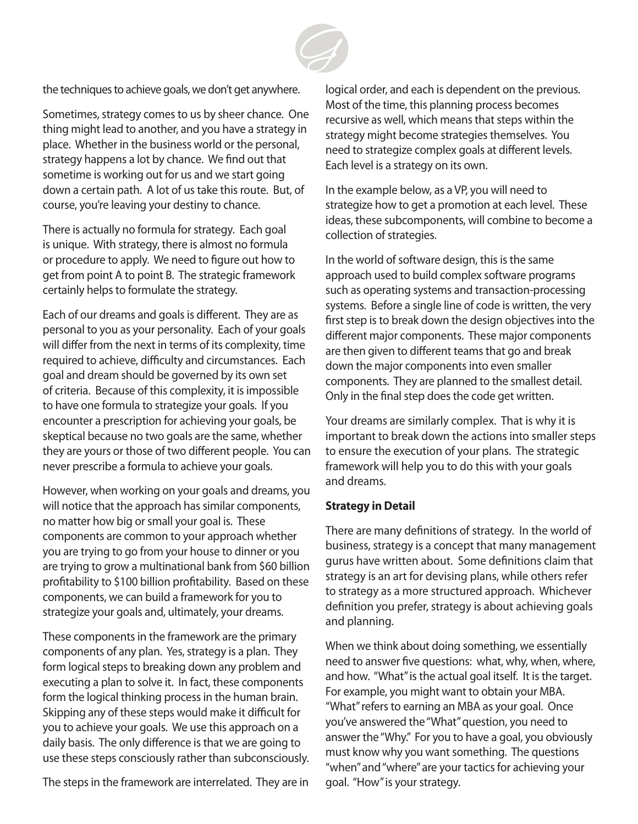

the techniques to achieve goals, we don't get anywhere.

Sometimes, strategy comes to us by sheer chance. One thing might lead to another, and you have a strategy in place. Whether in the business world or the personal, strategy happens a lot by chance. We find out that sometime is working out for us and we start going down a certain path. A lot of us take this route. But, of course, you're leaving your destiny to chance.

There is actually no formula for strategy. Each goal is unique. With strategy, there is almost no formula or procedure to apply. We need to figure out how to get from point A to point B. The strategic framework certainly helps to formulate the strategy.

Each of our dreams and goals is different. They are as personal to you as your personality. Each of your goals will differ from the next in terms of its complexity, time required to achieve, difficulty and circumstances. Each goal and dream should be governed by its own set of criteria. Because of this complexity, it is impossible to have one formula to strategize your goals. If you encounter a prescription for achieving your goals, be skeptical because no two goals are the same, whether they are yours or those of two different people. You can never prescribe a formula to achieve your goals.

However, when working on your goals and dreams, you will notice that the approach has similar components, no matter how big or small your goal is. These components are common to your approach whether you are trying to go from your house to dinner or you are trying to grow a multinational bank from \$60 billion profitability to \$100 billion profitability. Based on these components, we can build a framework for you to strategize your goals and, ultimately, your dreams.

These components in the framework are the primary components of any plan. Yes, strategy is a plan. They form logical steps to breaking down any problem and executing a plan to solve it. In fact, these components form the logical thinking process in the human brain. Skipping any of these steps would make it difficult for you to achieve your goals. We use this approach on a daily basis. The only difference is that we are going to use these steps consciously rather than subconsciously.

The steps in the framework are interrelated. They are in

logical order, and each is dependent on the previous. Most of the time, this planning process becomes recursive as well, which means that steps within the strategy might become strategies themselves. You need to strategize complex goals at different levels. Each level is a strategy on its own.

In the example below, as a VP, you will need to strategize how to get a promotion at each level. These ideas, these subcomponents, will combine to become a collection of strategies.

In the world of software design, this is the same approach used to build complex software programs such as operating systems and transaction-processing systems. Before a single line of code is written, the very first step is to break down the design objectives into the different major components. These major components are then given to different teams that go and break down the major components into even smaller components. They are planned to the smallest detail. Only in the final step does the code get written.

Your dreams are similarly complex. That is why it is important to break down the actions into smaller steps to ensure the execution of your plans. The strategic framework will help you to do this with your goals and dreams.

#### **Strategy in Detail**

There are many definitions of strategy. In the world of business, strategy is a concept that many management gurus have written about. Some definitions claim that strategy is an art for devising plans, while others refer to strategy as a more structured approach. Whichever definition you prefer, strategy is about achieving goals and planning.

When we think about doing something, we essentially need to answer five questions: what, why, when, where, and how. "What" is the actual goal itself. It is the target. For example, you might want to obtain your MBA. "What" refers to earning an MBA as your goal. Once you've answered the "What" question, you need to answer the "Why." For you to have a goal, you obviously must know why you want something. The questions "when" and "where" are your tactics for achieving your goal. "How" is your strategy.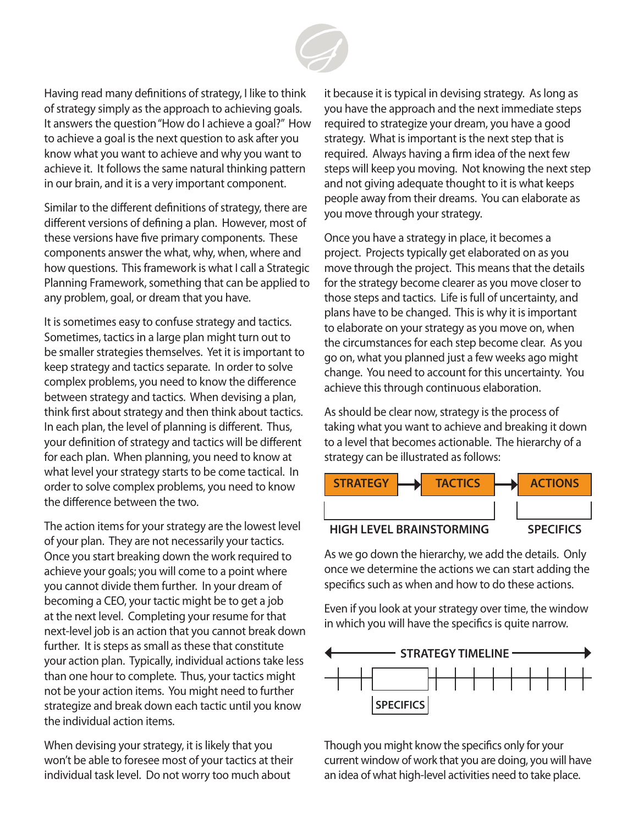

Having read many definitions of strategy, I like to think of strategy simply as the approach to achieving goals. It answers the question "How do I achieve a goal?" How to achieve a goal is the next question to ask after you know what you want to achieve and why you want to achieve it. It follows the same natural thinking pattern in our brain, and it is a very important component.

Similar to the different definitions of strategy, there are different versions of defining a plan. However, most of these versions have five primary components. These components answer the what, why, when, where and how questions. This framework is what I call a Strategic Planning Framework, something that can be applied to any problem, goal, or dream that you have.

It is sometimes easy to confuse strategy and tactics. Sometimes, tactics in a large plan might turn out to be smaller strategies themselves. Yet it is important to keep strategy and tactics separate. In order to solve complex problems, you need to know the difference between strategy and tactics. When devising a plan, think first about strategy and then think about tactics. In each plan, the level of planning is different. Thus, your definition of strategy and tactics will be different for each plan. When planning, you need to know at what level your strategy starts to be come tactical. In order to solve complex problems, you need to know the difference between the two.

The action items for your strategy are the lowest level of your plan. They are not necessarily your tactics. Once you start breaking down the work required to achieve your goals; you will come to a point where you cannot divide them further. In your dream of becoming a CEO, your tactic might be to get a job at the next level. Completing your resume for that next-level job is an action that you cannot break down further. It is steps as small as these that constitute your action plan. Typically, individual actions take less than one hour to complete. Thus, your tactics might not be your action items. You might need to further strategize and break down each tactic until you know the individual action items.

When devising your strategy, it is likely that you won't be able to foresee most of your tactics at their individual task level. Do not worry too much about

it because it is typical in devising strategy. As long as you have the approach and the next immediate steps required to strategize your dream, you have a good strategy. What is important is the next step that is required. Always having a firm idea of the next few steps will keep you moving. Not knowing the next step and not giving adequate thought to it is what keeps people away from their dreams. You can elaborate as you move through your strategy.

Once you have a strategy in place, it becomes a project. Projects typically get elaborated on as you move through the project. This means that the details for the strategy become clearer as you move closer to those steps and tactics. Life is full of uncertainty, and plans have to be changed. This is why it is important to elaborate on your strategy as you move on, when the circumstances for each step become clear. As you go on, what you planned just a few weeks ago might change. You need to account for this uncertainty. You achieve this through continuous elaboration.

As should be clear now, strategy is the process of taking what you want to achieve and breaking it down to a level that becomes actionable. The hierarchy of a strategy can be illustrated as follows:



As we go down the hierarchy, we add the details. Only once we determine the actions we can start adding the specifics such as when and how to do these actions.

Even if you look at your strategy over time, the window in which you will have the specifics is quite narrow.



Though you might know the specifics only for your current window of work that you are doing, you will have an idea of what high-level activities need to take place.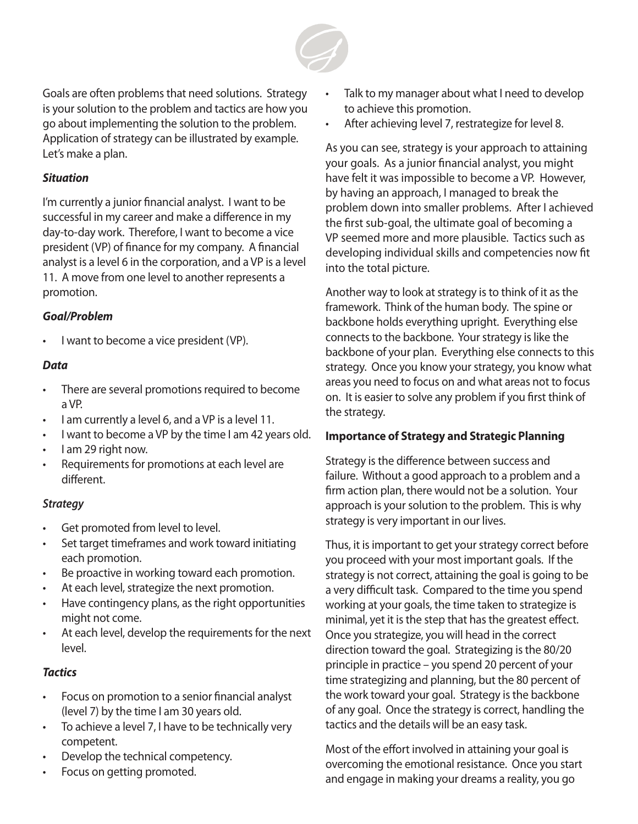

Goals are often problems that need solutions. Strategy is your solution to the problem and tactics are how you go about implementing the solution to the problem. Application of strategy can be illustrated by example. Let's make a plan.

#### *Situation*

I'm currently a junior financial analyst. I want to be successful in my career and make a difference in my day-to-day work. Therefore, I want to become a vice president (VP) of finance for my company. A financial analyst is a level 6 in the corporation, and a VP is a level 11. A move from one level to another represents a promotion.

#### *Goal/Problem*

• I want to become a vice president (VP).

# *Data*

- There are several promotions required to become a VP.
- I am currently a level 6, and a VP is a level 11.
- I want to become a VP by the time I am 42 years old.
- I am 29 right now.
- Requirements for promotions at each level are different.

# *Strategy*

- Get promoted from level to level.
- Set target timeframes and work toward initiating each promotion.
- Be proactive in working toward each promotion.
- At each level, strategize the next promotion.
- Have contingency plans, as the right opportunities might not come.
- At each level, develop the requirements for the next level.

# *Tactics*

- Focus on promotion to a senior financial analyst (level 7) by the time I am 30 years old.
- To achieve a level 7, I have to be technically very competent.
- Develop the technical competency.
- Focus on getting promoted.
- Talk to my manager about what I need to develop to achieve this promotion.
- After achieving level 7, restrategize for level 8.

As you can see, strategy is your approach to attaining your goals. As a junior financial analyst, you might have felt it was impossible to become a VP. However, by having an approach, I managed to break the problem down into smaller problems. After I achieved the first sub-goal, the ultimate goal of becoming a VP seemed more and more plausible. Tactics such as developing individual skills and competencies now fit into the total picture.

Another way to look at strategy is to think of it as the framework. Think of the human body. The spine or backbone holds everything upright. Everything else connects to the backbone. Your strategy is like the backbone of your plan. Everything else connects to this strategy. Once you know your strategy, you know what areas you need to focus on and what areas not to focus on. It is easier to solve any problem if you first think of the strategy.

# **Importance of Strategy and Strategic Planning**

Strategy is the difference between success and failure. Without a good approach to a problem and a firm action plan, there would not be a solution. Your approach is your solution to the problem. This is why strategy is very important in our lives.

Thus, it is important to get your strategy correct before you proceed with your most important goals. If the strategy is not correct, attaining the goal is going to be a very difficult task. Compared to the time you spend working at your goals, the time taken to strategize is minimal, yet it is the step that has the greatest effect. Once you strategize, you will head in the correct direction toward the goal. Strategizing is the 80/20 principle in practice – you spend 20 percent of your time strategizing and planning, but the 80 percent of the work toward your goal. Strategy is the backbone of any goal. Once the strategy is correct, handling the tactics and the details will be an easy task.

Most of the effort involved in attaining your goal is overcoming the emotional resistance. Once you start and engage in making your dreams a reality, you go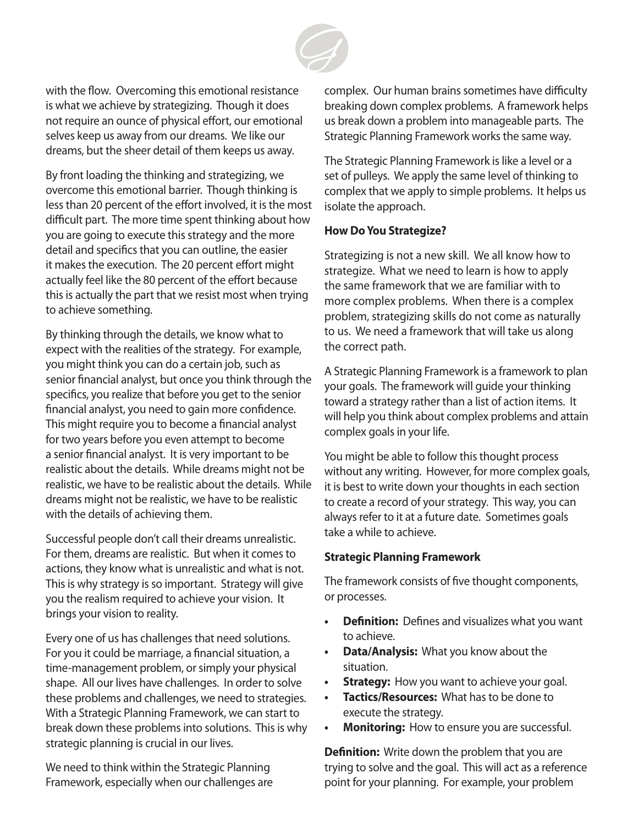

with the flow. Overcoming this emotional resistance is what we achieve by strategizing. Though it does not require an ounce of physical effort, our emotional selves keep us away from our dreams. We like our dreams, but the sheer detail of them keeps us away.

By front loading the thinking and strategizing, we overcome this emotional barrier. Though thinking is less than 20 percent of the effort involved, it is the most difficult part. The more time spent thinking about how you are going to execute this strategy and the more detail and specifics that you can outline, the easier it makes the execution. The 20 percent effort might actually feel like the 80 percent of the effort because this is actually the part that we resist most when trying to achieve something.

By thinking through the details, we know what to expect with the realities of the strategy. For example, you might think you can do a certain job, such as senior financial analyst, but once you think through the specifics, you realize that before you get to the senior financial analyst, you need to gain more confidence. This might require you to become a financial analyst for two years before you even attempt to become a senior financial analyst. It is very important to be realistic about the details. While dreams might not be realistic, we have to be realistic about the details. While dreams might not be realistic, we have to be realistic with the details of achieving them.

Successful people don't call their dreams unrealistic. For them, dreams are realistic. But when it comes to actions, they know what is unrealistic and what is not. This is why strategy is so important. Strategy will give you the realism required to achieve your vision. It brings your vision to reality.

Every one of us has challenges that need solutions. For you it could be marriage, a financial situation, a time-management problem, or simply your physical shape. All our lives have challenges. In order to solve these problems and challenges, we need to strategies. With a Strategic Planning Framework, we can start to break down these problems into solutions. This is why strategic planning is crucial in our lives.

We need to think within the Strategic Planning Framework, especially when our challenges are complex. Our human brains sometimes have difficulty breaking down complex problems. A framework helps us break down a problem into manageable parts. The Strategic Planning Framework works the same way.

The Strategic Planning Framework is like a level or a set of pulleys. We apply the same level of thinking to complex that we apply to simple problems. It helps us isolate the approach.

#### **How Do You Strategize?**

Strategizing is not a new skill. We all know how to strategize. What we need to learn is how to apply the same framework that we are familiar with to more complex problems. When there is a complex problem, strategizing skills do not come as naturally to us. We need a framework that will take us along the correct path.

A Strategic Planning Framework is a framework to plan your goals. The framework will guide your thinking toward a strategy rather than a list of action items. It will help you think about complex problems and attain complex goals in your life.

You might be able to follow this thought process without any writing. However, for more complex goals, it is best to write down your thoughts in each section to create a record of your strategy. This way, you can always refer to it at a future date. Sometimes goals take a while to achieve.

# **Strategic Planning Framework**

The framework consists of five thought components, or processes.

- **• Definition:** Defines and visualizes what you want to achieve.
- **• Data/Analysis:** What you know about the situation.
- **Strategy:** How you want to achieve your goal.
- **• Tactics/Resources:** What has to be done to execute the strategy.
- **• Monitoring:** How to ensure you are successful.

**Definition:** Write down the problem that you are trying to solve and the goal. This will act as a reference point for your planning. For example, your problem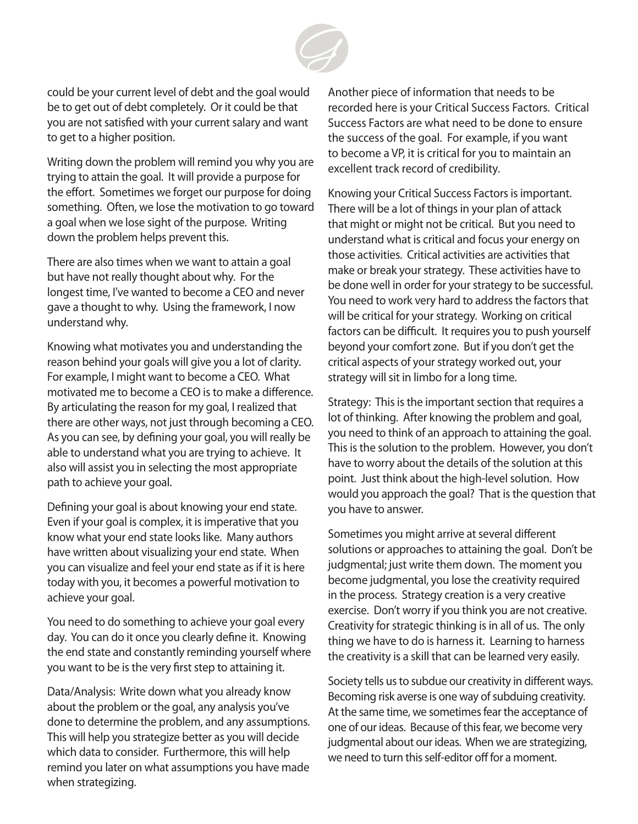

could be your current level of debt and the goal would be to get out of debt completely. Or it could be that you are not satisfied with your current salary and want to get to a higher position.

Writing down the problem will remind you why you are trying to attain the goal. It will provide a purpose for the effort. Sometimes we forget our purpose for doing something. Often, we lose the motivation to go toward a goal when we lose sight of the purpose. Writing down the problem helps prevent this.

There are also times when we want to attain a goal but have not really thought about why. For the longest time, I've wanted to become a CEO and never gave a thought to why. Using the framework, I now understand why.

Knowing what motivates you and understanding the reason behind your goals will give you a lot of clarity. For example, I might want to become a CEO. What motivated me to become a CEO is to make a difference. By articulating the reason for my goal, I realized that there are other ways, not just through becoming a CEO. As you can see, by defining your goal, you will really be able to understand what you are trying to achieve. It also will assist you in selecting the most appropriate path to achieve your goal.

Defining your goal is about knowing your end state. Even if your goal is complex, it is imperative that you know what your end state looks like. Many authors have written about visualizing your end state. When you can visualize and feel your end state as if it is here today with you, it becomes a powerful motivation to achieve your goal.

You need to do something to achieve your goal every day. You can do it once you clearly define it. Knowing the end state and constantly reminding yourself where you want to be is the very first step to attaining it.

Data/Analysis: Write down what you already know about the problem or the goal, any analysis you've done to determine the problem, and any assumptions. This will help you strategize better as you will decide which data to consider. Furthermore, this will help remind you later on what assumptions you have made when strategizing.

Another piece of information that needs to be recorded here is your Critical Success Factors. Critical Success Factors are what need to be done to ensure the success of the goal. For example, if you want to become a VP, it is critical for you to maintain an excellent track record of credibility.

Knowing your Critical Success Factors is important. There will be a lot of things in your plan of attack that might or might not be critical. But you need to understand what is critical and focus your energy on those activities. Critical activities are activities that make or break your strategy. These activities have to be done well in order for your strategy to be successful. You need to work very hard to address the factors that will be critical for your strategy. Working on critical factors can be difficult. It requires you to push yourself beyond your comfort zone. But if you don't get the critical aspects of your strategy worked out, your strategy will sit in limbo for a long time.

Strategy: This is the important section that requires a lot of thinking. After knowing the problem and goal, you need to think of an approach to attaining the goal. This is the solution to the problem. However, you don't have to worry about the details of the solution at this point. Just think about the high-level solution. How would you approach the goal? That is the question that you have to answer.

Sometimes you might arrive at several different solutions or approaches to attaining the goal. Don't be judgmental; just write them down. The moment you become judgmental, you lose the creativity required in the process. Strategy creation is a very creative exercise. Don't worry if you think you are not creative. Creativity for strategic thinking is in all of us. The only thing we have to do is harness it. Learning to harness the creativity is a skill that can be learned very easily.

Society tells us to subdue our creativity in different ways. Becoming risk averse is one way of subduing creativity. At the same time, we sometimes fear the acceptance of one of our ideas. Because of this fear, we become very judgmental about our ideas. When we are strategizing, we need to turn this self-editor off for a moment.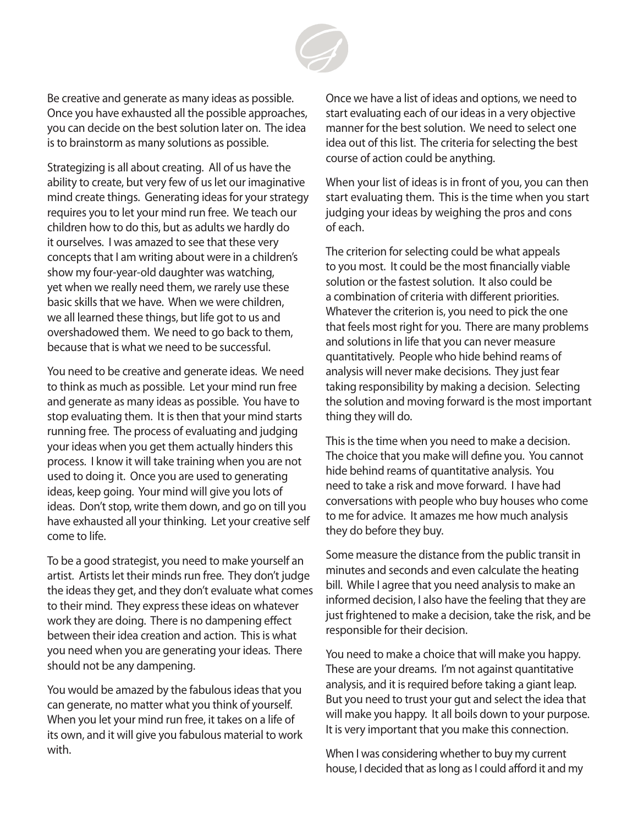

Be creative and generate as many ideas as possible. Once you have exhausted all the possible approaches, you can decide on the best solution later on. The idea is to brainstorm as many solutions as possible.

Strategizing is all about creating. All of us have the ability to create, but very few of us let our imaginative mind create things. Generating ideas for your strategy requires you to let your mind run free. We teach our children how to do this, but as adults we hardly do it ourselves. I was amazed to see that these very concepts that I am writing about were in a children's show my four-year-old daughter was watching, yet when we really need them, we rarely use these basic skills that we have. When we were children, we all learned these things, but life got to us and overshadowed them. We need to go back to them, because that is what we need to be successful.

You need to be creative and generate ideas. We need to think as much as possible. Let your mind run free and generate as many ideas as possible. You have to stop evaluating them. It is then that your mind starts running free. The process of evaluating and judging your ideas when you get them actually hinders this process. I know it will take training when you are not used to doing it. Once you are used to generating ideas, keep going. Your mind will give you lots of ideas. Don't stop, write them down, and go on till you have exhausted all your thinking. Let your creative self come to life.

To be a good strategist, you need to make yourself an artist. Artists let their minds run free. They don't judge the ideas they get, and they don't evaluate what comes to their mind. They express these ideas on whatever work they are doing. There is no dampening effect between their idea creation and action. This is what you need when you are generating your ideas. There should not be any dampening.

You would be amazed by the fabulous ideas that you can generate, no matter what you think of yourself. When you let your mind run free, it takes on a life of its own, and it will give you fabulous material to work with.

Once we have a list of ideas and options, we need to start evaluating each of our ideas in a very objective manner for the best solution. We need to select one idea out of this list. The criteria for selecting the best course of action could be anything.

When your list of ideas is in front of you, you can then start evaluating them. This is the time when you start judging your ideas by weighing the pros and cons of each.

The criterion for selecting could be what appeals to you most. It could be the most financially viable solution or the fastest solution. It also could be a combination of criteria with different priorities. Whatever the criterion is, you need to pick the one that feels most right for you. There are many problems and solutions in life that you can never measure quantitatively. People who hide behind reams of analysis will never make decisions. They just fear taking responsibility by making a decision. Selecting the solution and moving forward is the most important thing they will do.

This is the time when you need to make a decision. The choice that you make will define you. You cannot hide behind reams of quantitative analysis. You need to take a risk and move forward. I have had conversations with people who buy houses who come to me for advice. It amazes me how much analysis they do before they buy.

Some measure the distance from the public transit in minutes and seconds and even calculate the heating bill. While I agree that you need analysis to make an informed decision, I also have the feeling that they are just frightened to make a decision, take the risk, and be responsible for their decision.

You need to make a choice that will make you happy. These are your dreams. I'm not against quantitative analysis, and it is required before taking a giant leap. But you need to trust your gut and select the idea that will make you happy. It all boils down to your purpose. It is very important that you make this connection.

When I was considering whether to buy my current house, I decided that as long as I could afford it and my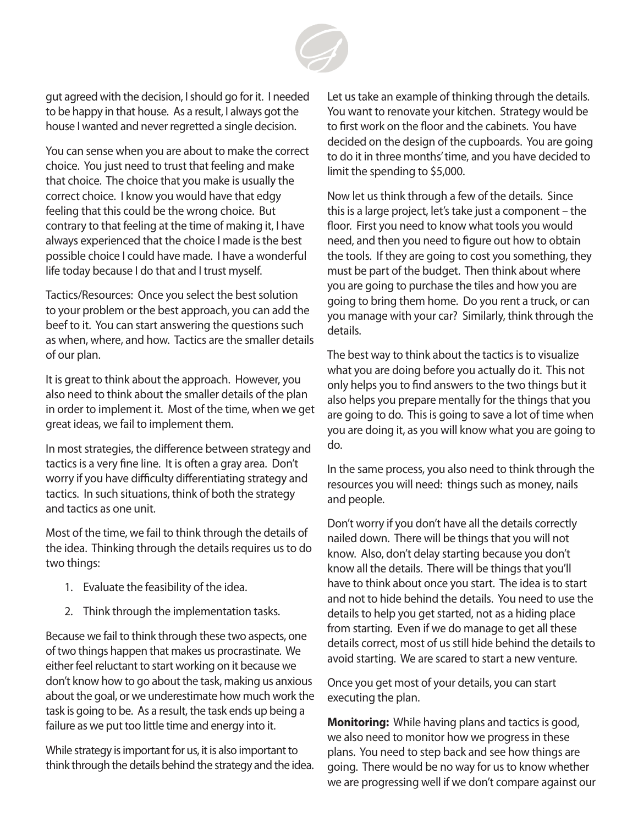

gut agreed with the decision, I should go for it. I needed to be happy in that house. As a result, I always got the house I wanted and never regretted a single decision.

You can sense when you are about to make the correct choice. You just need to trust that feeling and make that choice. The choice that you make is usually the correct choice. I know you would have that edgy feeling that this could be the wrong choice. But contrary to that feeling at the time of making it, I have always experienced that the choice I made is the best possible choice I could have made. I have a wonderful life today because I do that and I trust myself.

Tactics/Resources: Once you select the best solution to your problem or the best approach, you can add the beef to it. You can start answering the questions such as when, where, and how. Tactics are the smaller details of our plan.

It is great to think about the approach. However, you also need to think about the smaller details of the plan in order to implement it. Most of the time, when we get great ideas, we fail to implement them.

In most strategies, the difference between strategy and tactics is a very fine line. It is often a gray area. Don't worry if you have difficulty differentiating strategy and tactics. In such situations, think of both the strategy and tactics as one unit.

Most of the time, we fail to think through the details of the idea. Thinking through the details requires us to do two things:

- 1. Evaluate the feasibility of the idea.
- 2. Think through the implementation tasks.

Because we fail to think through these two aspects, one of two things happen that makes us procrastinate. We either feel reluctant to start working on it because we don't know how to go about the task, making us anxious about the goal, or we underestimate how much work the task is going to be. As a result, the task ends up being a failure as we put too little time and energy into it.

While strategy is important for us, it is also important to think through the details behind the strategy and the idea. Let us take an example of thinking through the details. You want to renovate your kitchen. Strategy would be to first work on the floor and the cabinets. You have decided on the design of the cupboards. You are going to do it in three months' time, and you have decided to limit the spending to \$5,000.

Now let us think through a few of the details. Since this is a large project, let's take just a component – the floor. First you need to know what tools you would need, and then you need to figure out how to obtain the tools. If they are going to cost you something, they must be part of the budget. Then think about where you are going to purchase the tiles and how you are going to bring them home. Do you rent a truck, or can you manage with your car? Similarly, think through the details.

The best way to think about the tactics is to visualize what you are doing before you actually do it. This not only helps you to find answers to the two things but it also helps you prepare mentally for the things that you are going to do. This is going to save a lot of time when you are doing it, as you will know what you are going to do.

In the same process, you also need to think through the resources you will need: things such as money, nails and people.

Don't worry if you don't have all the details correctly nailed down. There will be things that you will not know. Also, don't delay starting because you don't know all the details. There will be things that you'll have to think about once you start. The idea is to start and not to hide behind the details. You need to use the details to help you get started, not as a hiding place from starting. Even if we do manage to get all these details correct, most of us still hide behind the details to avoid starting. We are scared to start a new venture.

Once you get most of your details, you can start executing the plan.

**Monitoring:** While having plans and tactics is good, we also need to monitor how we progress in these plans. You need to step back and see how things are going. There would be no way for us to know whether we are progressing well if we don't compare against our